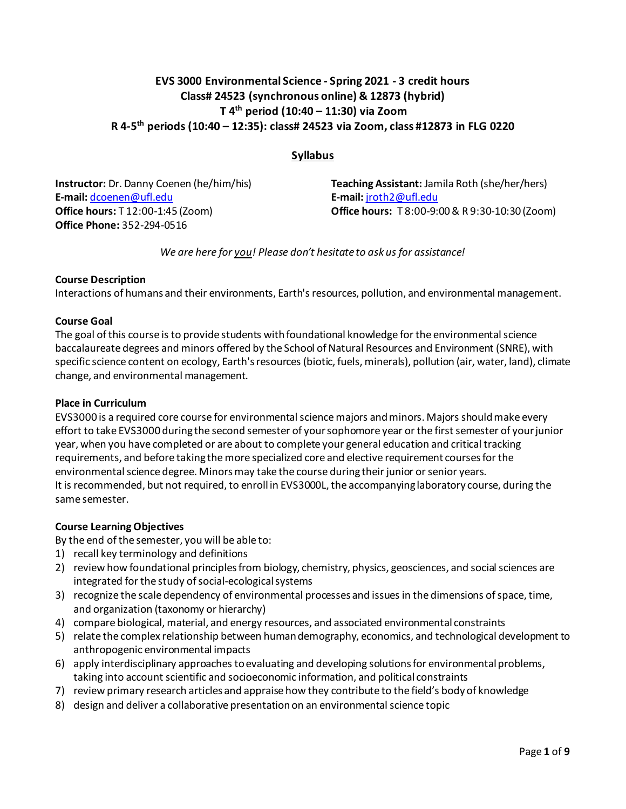# **EVS 3000 Environmental Science - Spring 2021 - 3 credit hours Class# 24523 (synchronous online) & 12873 (hybrid) T 4th period (10:40 – 11:30) via Zoom R 4-5th periods (10:40 – 12:35): class# 24523 via Zoom, class #12873 in FLG 0220**

## **Syllabus**

**Instructor:** Dr. Danny Coenen (he/him/his) **E-mail:** [dcoenen@ufl.edu](mailto:dcoenen@ufl.edu) **Office hours:** T 12:00-1:45 (Zoom) **Office Phone:** 352-294-0516

**Teaching Assistant:** Jamila Roth (she/her/hers) **E-mail:** [jroth2@ufl.edu](mailto:jroth2@ufl.edu) **Office hours:** T 8:00-9:00& R 9:30-10:30 (Zoom)

*We are here for you! Please don't hesitate to ask us for assistance!*

### **Course Description**

Interactions of humans and their environments, Earth's resources, pollution, and environmental management.

#### **Course Goal**

The goal of this course is to provide students with foundational knowledge for the environmental science baccalaureate degrees and minors offered by the School of Natural Resources and Environment (SNRE), with specific science content on ecology, Earth's resources (biotic, fuels, minerals), pollution (air, water, land), climate change, and environmental management.

#### **Place in Curriculum**

EVS3000 is a required core course for environmental science majors and minors. Majors should make every effort to take EVS3000 during the second semester of your sophomore year or the first semester of your junior year, when you have completed or are about to complete your general education and critical tracking requirements, and before taking the more specialized core and elective requirement courses for the environmental science degree. Minors may take the course during their junior or senior years. It is recommended, but not required, to enroll in EVS3000L, the accompanying laboratory course, during the same semester.

#### **Course Learning Objectives**

By the end of the semester, you will be able to:

- 1) recall key terminology and definitions
- 2) review how foundational principles from biology, chemistry, physics, geosciences, and social sciences are integrated for the study of social-ecological systems
- 3) recognize the scale dependency of environmental processes and issues in the dimensions of space, time, and organization (taxonomy or hierarchy)
- 4) compare biological, material, and energy resources, and associated environmental constraints
- 5) relate the complex relationship between human demography, economics, and technological development to anthropogenic environmental impacts
- 6) apply interdisciplinary approaches to evaluating and developing solutions for environmental problems, taking into account scientific and socioeconomic information, and political constraints
- 7) review primary research articles and appraise how they contribute to the field's body of knowledge
- 8) design and deliver a collaborative presentation on an environmental science topic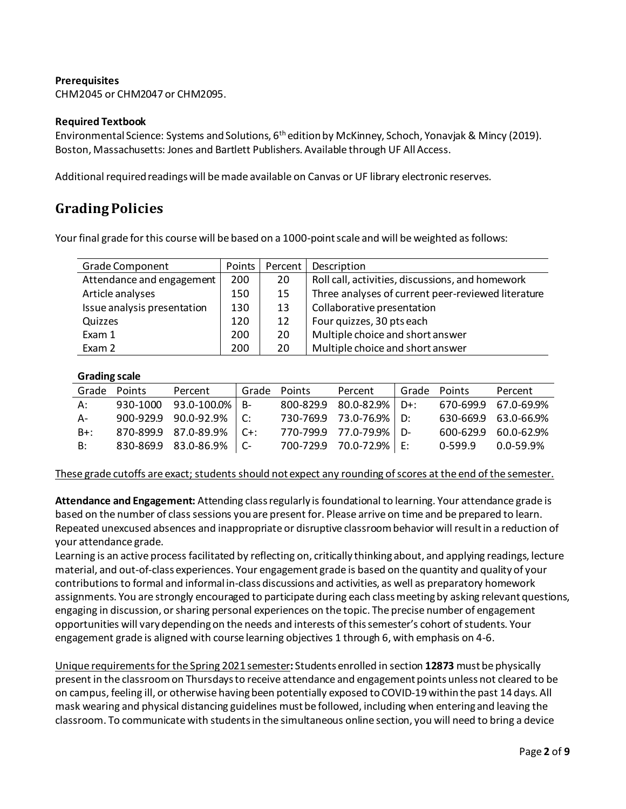### **Prerequisites**

CHM2045 or CHM2047 or CHM2095.

#### **Required Textbook**

Environmental Science: Systems and Solutions, 6th edition by McKinney, Schoch, Yonavjak & Mincy (2019). Boston, Massachusetts: Jones and Bartlett Publishers. Available through UF All Access.

Additional required readings will be made available on Canvas or UF library electronic reserves.

# **GradingPolicies**

Your final grade for this course will be based on a 1000-point scale and will be weighted as follows:

| <b>Grade Component</b>      | Points | Percent | Description                                        |
|-----------------------------|--------|---------|----------------------------------------------------|
| Attendance and engagement   | 200    | 20      | Roll call, activities, discussions, and homework   |
| Article analyses            | 150    | 15      | Three analyses of current peer-reviewed literature |
| Issue analysis presentation | 130    | 13      | Collaborative presentation                         |
| Quizzes                     | 120    | 12      | Four quizzes, 30 pts each                          |
| Exam 1                      | 200    | 20      | Multiple choice and short answer                   |
| Exam 2                      | 200    | 20      | Multiple choice and short answer                   |

### **Grading scale**

|        | Grade Points | Percent                        | l Grade Points | Percent                  | Grade Points |           | Percent              |
|--------|--------------|--------------------------------|----------------|--------------------------|--------------|-----------|----------------------|
| A:     |              | 930-1000 93.0-100.0% B-        |                | 800-829.9 80.0-82.9% D+: |              |           | 670-699.9 67.0-69.9% |
| A-     |              | $900-929.9$ $90.0-92.9\%$   C: |                | 730-769.9 73.0-76.9% D:  |              |           | 630-669.9 63.0-66.9% |
| $B+$ : |              | 870-899.9 87.0-89.9% C+:       |                | 770-799.9 77.0-79.9% D-  |              |           | 600-629.9 60.0-62.9% |
| B:     |              | 830-869.9 83.0-86.9% C-        |                | 700-729.9 70.0-72.9% E:  |              | $0-599.9$ | 0.0-59.9%            |

These grade cutoffs are exact; students should not expect any rounding of scores at the end of the semester.

**Attendance and Engagement:** Attending class regularly is foundational to learning. Your attendance grade is based on the number of class sessions you are present for. Please arrive on time and be prepared to learn. Repeated unexcused absences and inappropriate or disruptive classroom behavior will result in a reduction of your attendance grade.

Learning is an active process facilitated by reflecting on, critically thinking about, and applying readings, lecture material, and out-of-class experiences. Your engagement grade is based on the quantity and quality of your contributions to formal and informal in-class discussions and activities, as well as preparatory homework assignments. You are strongly encouraged to participate during each class meeting by asking relevant questions, engaging in discussion, or sharing personal experiences on the topic. The precise number of engagement opportunities will vary depending on the needs and interests of this semester's cohort of students. Your engagement grade is aligned with course learning objectives 1 through 6, with emphasis on 4-6.

Unique requirements for the Spring 2021 semester**:** Students enrolled in section **12873** must be physically present in the classroom on Thursdays to receive attendance and engagement points unless not cleared to be on campus, feeling ill, or otherwise having been potentially exposed to COVID-19within the past 14 days. All mask wearing and physical distancing guidelines must be followed, including when entering and leaving the classroom. To communicate with students in the simultaneous online section, you will need to bring a device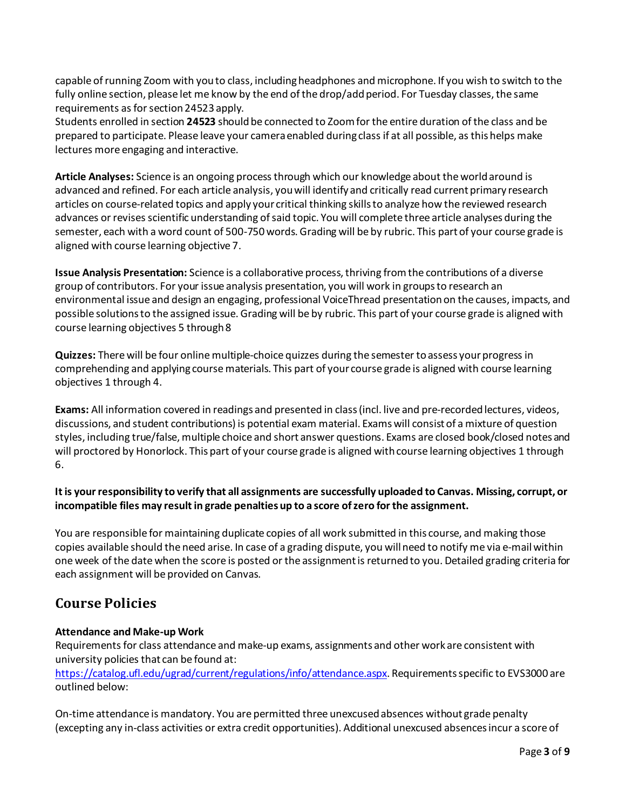capable of running Zoom with you to class, including headphones and microphone. If you wish to switch to the fully online section, please let me know by the end of the drop/add period. For Tuesday classes, the same requirements as for section 24523 apply.

Students enrolled in section **24523** should be connected to Zoom for the entire duration of the class and be prepared to participate. Please leave your camera enabled during class if at all possible, as this helps make lectures more engaging and interactive.

**Article Analyses:** Science is an ongoing process through which our knowledge about the world around is advanced and refined. For each article analysis, you will identify and critically read current primary research articles on course-related topics and apply your critical thinking skills to analyze how the reviewed research advances or revises scientific understanding of said topic. You will complete three article analyses during the semester, each with a word count of 500-750 words. Grading will be by rubric. This part of your course grade is aligned with course learning objective 7.

**Issue Analysis Presentation:** Science is a collaborative process, thriving from the contributions of a diverse group of contributors. For your issue analysis presentation, you will work in groups to research an environmental issue and design an engaging, professional VoiceThread presentation on the causes, impacts, and possible solutions to the assigned issue. Grading will be by rubric. This part of your course grade is aligned with course learning objectives 5 through 8

**Quizzes:** There will be four online multiple-choice quizzes during the semester to assess your progress in comprehending and applying course materials. This part of your course grade is aligned with course learning objectives 1 through 4.

**Exams:** All information covered in readings and presented in class(incl. live and pre-recordedlectures, videos, discussions, and student contributions) is potential exam material. Exams will consist of a mixture of question styles, including true/false, multiple choice and short answer questions. Exams are closed book/closed notes and will proctored by Honorlock. This part of your course grade is aligned with course learning objectives 1 through 6.

## **It is your responsibility to verify that all assignments are successfully uploaded to Canvas. Missing, corrupt, or incompatible files may result in grade penalties up to a score of zero for the assignment.**

You are responsible for maintaining duplicate copies of all work submitted in this course, and making those copies available should the need arise. In case of a grading dispute, you will need to notify me via e-mail within one week of the date when the score is posted or the assignment is returned to you. Detailed grading criteria for each assignment will be provided on Canvas.

# **Course Policies**

# **Attendance and Make-up Work**

Requirements for class attendance and make-up exams, assignments and other work are consistent with university policies that can be found at:

[https://catalog.ufl.edu/ugrad/current/regulations/info/attendance.aspx.](https://catalog.ufl.edu/ugrad/current/regulations/info/attendance.aspx) Requirements specific to EVS3000 are outlined below:

On-time attendance is mandatory. You are permitted three unexcused absences without grade penalty (excepting any in-class activities or extra credit opportunities). Additional unexcused absences incur a score of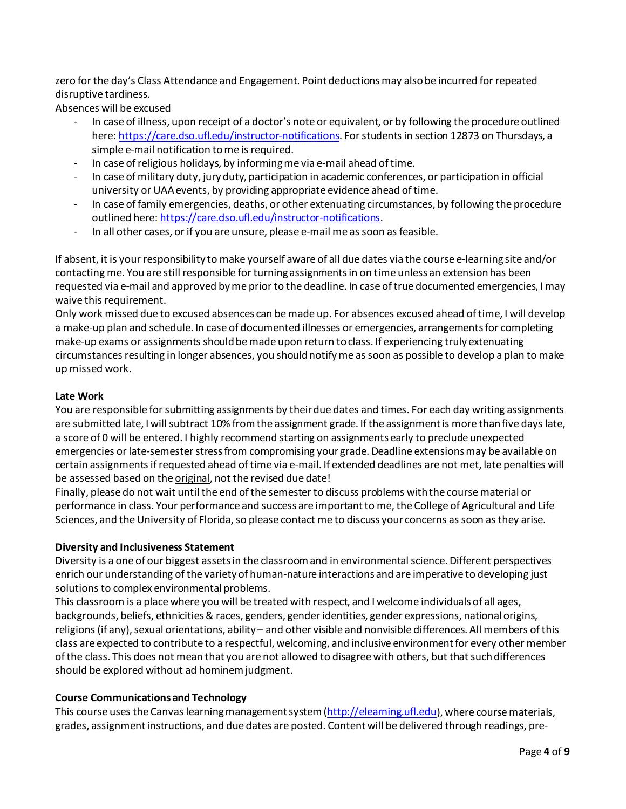zero for the day's Class Attendance and Engagement. Point deductions may also be incurred for repeated disruptive tardiness.

Absences will be excused

- In case of illness, upon receipt of a doctor's note or equivalent, or by following the procedure outlined here:<https://care.dso.ufl.edu/instructor-notifications>. For students in section 12873 on Thursdays, a simple e-mail notification to me is required.
- In case of religious holidays, by informing me via e-mail ahead of time.
- In case of military duty, jury duty, participation in academic conferences, or participation in official university or UAA events, by providing appropriate evidence ahead of time.
- In case of family emergencies, deaths, or other extenuating circumstances, by following the procedure outlined here[: https://care.dso.ufl.edu/instructor-notifications](https://care.dso.ufl.edu/instructor-notifications).
- In all other cases, or if you are unsure, please e-mail me as soon as feasible.

If absent, it is your responsibility to make yourself aware of all due dates via the course e-learning site and/or contacting me. You are still responsible for turning assignments in on time unless an extension has been requested via e-mail and approved by me prior to the deadline. In case of true documented emergencies, Imay waive this requirement.

Only work missed due to excused absences can be made up. For absences excused ahead of time, I will develop a make-up plan and schedule. In case of documented illnesses or emergencies, arrangements for completing make-up exams or assignments should be made upon return to class. If experiencing truly extenuating circumstances resulting in longer absences, you should notify me as soon as possible to develop a plan to make up missed work.

### **Late Work**

You are responsible for submitting assignments by their due dates and times. For each day writing assignments are submitted late, I will subtract 10% from the assignment grade. If the assignment is more than five days late, a score of 0 will be entered. I highly recommend starting on assignments early to preclude unexpected emergencies or late-semester stress from compromising your grade. Deadline extensions may be available on certain assignments if requested ahead of time via e-mail. If extended deadlines are not met, late penalties will be assessed based on the original, not the revised due date!

Finally, please do not wait until the end of the semester to discuss problems with the course material or performance in class. Your performance and success are important to me, the College of Agricultural and Life Sciences, and the University of Florida, so please contact me to discuss your concerns as soon as they arise.

### **Diversity and Inclusiveness Statement**

Diversity is a one of our biggest assets in the classroom and in environmental science. Different perspectives enrich our understanding of the variety of human-nature interactions and are imperative to developing just solutions to complex environmental problems.

This classroom is a place where you will be treated with respect, and I welcome individuals of all ages, backgrounds, beliefs, ethnicities & races, genders, gender identities, gender expressions, national origins, religions (if any), sexual orientations, ability – and other visible and nonvisible differences. All members of this class are expected to contribute to a respectful, welcoming, and inclusive environment for every other member of the class. This does not mean that you are not allowed to disagree with others, but that such differences should be explored without ad hominem judgment.

### **Course Communications and Technology**

This course uses the Canvas learning management system [\(http://elearning.ufl.edu](http://elearning.ufl.edu/)), where course materials, grades, assignment instructions, and due dates are posted. Content will be delivered through readings, pre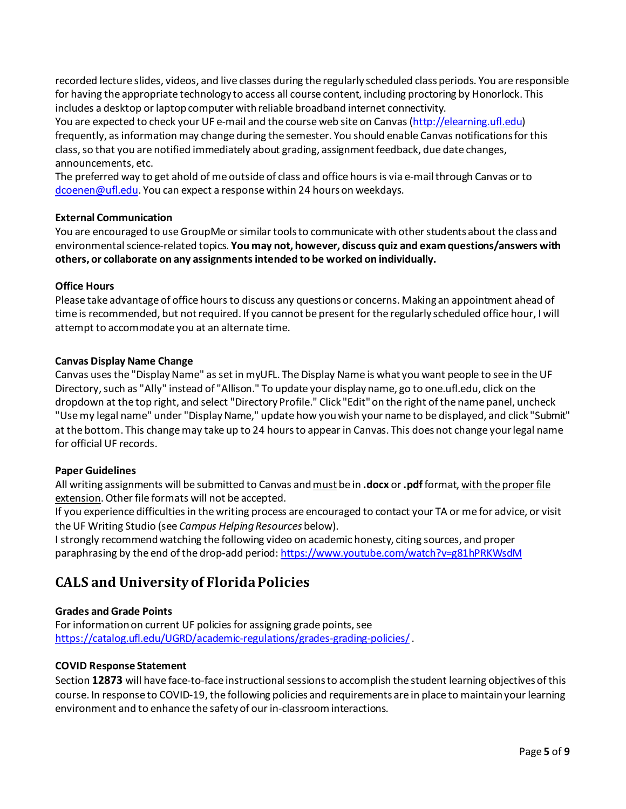recorded lecture slides, videos, and live classes during the regularly scheduled class periods. You are responsible for having the appropriate technology to access all course content, including proctoring by Honorlock. This includes a desktop or laptop computer with reliable broadband internet connectivity.

You are expected to check your UF e-mail and the course web site on Canvas [\(http://elearning.ufl.edu\)](http://elearning.ufl.edu/) frequently, as information may change during the semester. You should enable Canvas notifications for this class, so that you are notified immediately about grading, assignment feedback, due date changes, announcements, etc.

The preferred way to get ahold of me outside of class and office hours is via e-mail through Canvas or to dcoenen@ufl.edu. You can expect a response within 24 hours on weekdays.

### **External Communication**

You are encouraged to use GroupMe or similar tools to communicate with other students about the class and environmental science-related topics. **You may not, however, discuss quiz and exam questions/answers with others, or collaborate on any assignments intended to be worked on individually.**

### **Office Hours**

Please take advantage of office hours to discuss any questions or concerns. Making an appointment ahead of time is recommended, but not required. If you cannot be present for the regularly scheduled office hour, I will attempt to accommodate you at an alternate time.

### **Canvas Display Name Change**

Canvas uses the "Display Name" as set in myUFL. The Display Name is what you want people to see in the UF Directory, such as "Ally" instead of "Allison." To update your display name, go to one.ufl.edu, click on the dropdown at the top right, and select "Directory Profile." Click "Edit" on the right of the name panel, uncheck "Use my legal name" under "Display Name," update how you wish your name to be displayed, and click "Submit" at the bottom. This change may take up to 24 hours to appear in Canvas. This does not change your legal name for official UF records.

### **Paper Guidelines**

All writing assignments will be submitted to Canvas and must be in **.docx** or **.pdf**format, with the proper file extension. Other file formats will not be accepted.

If you experience difficulties in the writing process are encouraged to contact your TA or me for advice, or visit the UF Writing Studio (see *Campus Helping Resources* below).

I strongly recommend watching the following video on academic honesty, citing sources, and proper paraphrasing by the end of the drop-add period[: https://www.youtube.com/watch?v=g81hPRKWsdM](https://www.youtube.com/watch?v=g81hPRKWsdM)

# **CALS and University of Florida Policies**

### **Grades and Grade Points**

For information on current UF policies for assigning grade points, see <https://catalog.ufl.edu/UGRD/academic-regulations/grades-grading-policies/>.

### **COVID Response Statement**

Section **12873** will have face-to-face instructional sessions to accomplish the student learning objectives of this course. In response to COVID-19, the following policies and requirements are in place to maintain your learning environment and to enhance the safety of our in-classroom interactions.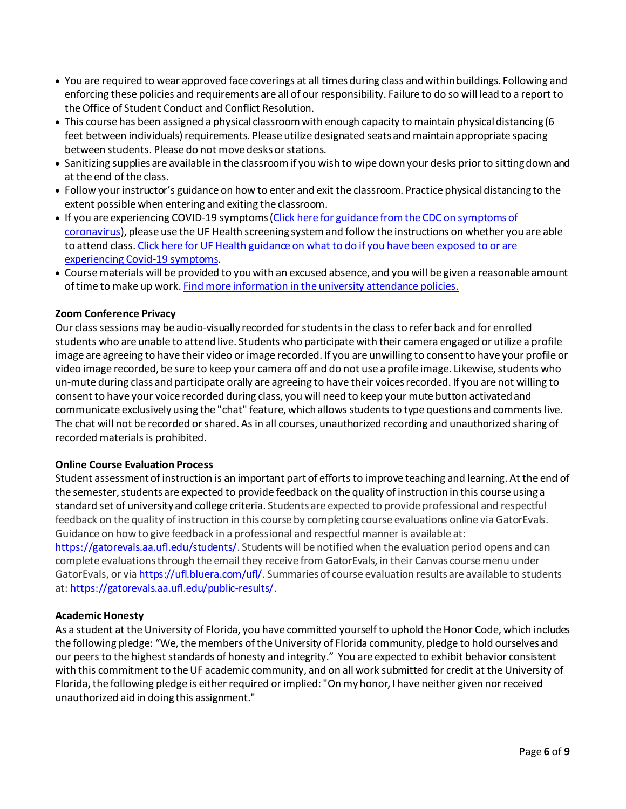- You are required to wear approved face coverings at all times during class and within buildings. Following and enforcing these policies and requirements are all of our responsibility. Failure to do so will lead to a report to the Office of Student Conduct and Conflict Resolution.
- This course has been assigned a physical classroom with enough capacity to maintain physical distancing (6 feet between individuals) requirements. Please utilize designated seats and maintain appropriate spacing between students. Please do not move desks or stations.
- Sanitizing supplies are available in the classroom if you wish to wipe down your desks prior to sitting down and at the end of the class.
- Follow your instructor's guidance on how to enter and exit the classroom. Practice physical distancing to the extent possible when entering and exiting the classroom.
- If you are experiencing COVID-19 symptoms [\(Click here for guidance fromthe CDC on symptoms of](https://www.cdc.gov/coronavirus/2019-ncov/symptoms-testing/symptoms.html)  [coronavirus](https://www.cdc.gov/coronavirus/2019-ncov/symptoms-testing/symptoms.html)), please use the UF Health screening system and follow the instructions on whether you are able to attend class[. Click here for UF Health guidance on what to do if you have been](https://coronavirus.ufhealth.org/screen-test-protect/covid-19-exposure-and-symptoms-who-do-i-call-if/) exposed to or are [experiencing Covid-19 symptoms](https://coronavirus.ufhealth.org/screen-test-protect/covid-19-exposure-and-symptoms-who-do-i-call-if/).
- Course materials will be provided to you with an excused absence, and you will be given a reasonable amount of time to make up work[. Find more information in the university attendance policies.](https://catalog.ufl.edu/UGRD/academic-regulations/attendance-policies/)

## **Zoom Conference Privacy**

Our class sessions may be audio-visually recorded for students in the class to refer back and for enrolled students who are unable to attend live. Students who participate with their camera engaged or utilize a profile image are agreeing to have their video or image recorded. If you are unwilling to consent to have your profile or video image recorded, be sure to keep your camera off and do not use a profile image. Likewise, students who un-mute during class and participate orally are agreeing to have their voices recorded. If you are not willing to consent to have your voice recorded during class, you will need to keep your mute button activated and communicate exclusively using the "chat" feature, which allows students to type questions and comments live. The chat will not be recorded or shared. As in all courses, unauthorized recording and unauthorized sharing of recorded materials is prohibited.

### **Online Course Evaluation Process**

Student assessment of instruction is an important part of efforts to improve teaching and learning. At the end of the semester, students are expected to provide feedback on the quality of instruction in this course using a standard set of university and college criteria. Students are expected to provide professional and respectful feedback on the quality of instruction in this course by completing course evaluations online via GatorEvals. Guidance on how to give feedback in a professional and respectful manner is available at:

https://gatorevals.aa.ufl.edu/students/. Students will be notified when the evaluation period opens and can complete evaluations through the email they receive from GatorEvals, in their Canvas course menu under GatorEvals, or via https://ufl.bluera.com/ufl/. Summaries of course evaluation results are available to students at: https://gatorevals.aa.ufl.edu/public-results/.

### **Academic Honesty**

As a student at the University of Florida, you have committed yourself to uphold the Honor Code, which includes the following pledge: "We, the members of the University of Florida community, pledge to hold ourselves and our peers to the highest standards of honesty and integrity." You are expected to exhibit behavior consistent with this commitment to the UF academic community, and on all work submitted for credit at the University of Florida, the following pledge is either required or implied: "On my honor, I have neither given nor received unauthorized aid in doing this assignment."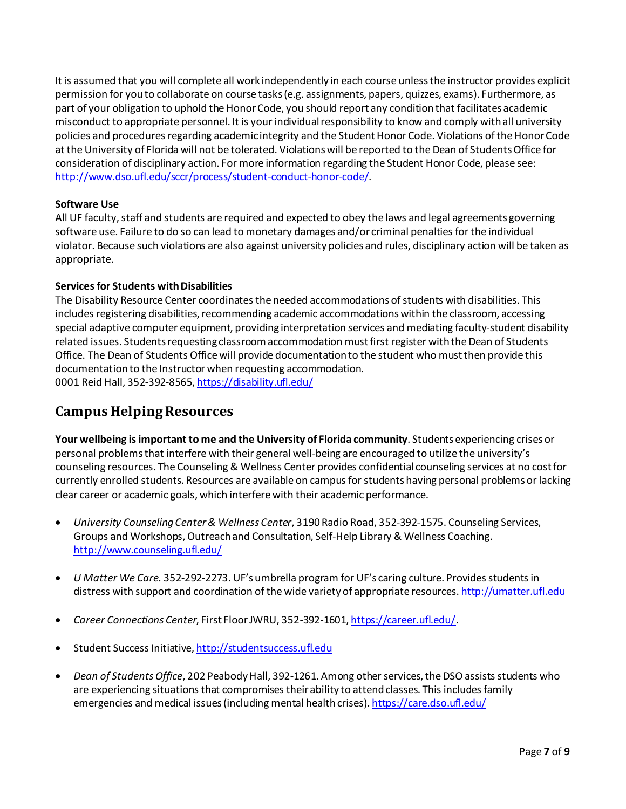It is assumed that you will complete all work independently in each course unless the instructor provides explicit permission for you to collaborate on course tasks (e.g. assignments, papers, quizzes, exams). Furthermore, as part of your obligation to uphold the Honor Code, you should report any condition that facilitates academic misconduct to appropriate personnel. It is your individual responsibility to know and comply with all university policies and procedures regarding academic integrity and the Student Honor Code. Violations of the Honor Code at the University of Florida will not be tolerated. Violations will be reported to the Dean of Students Office for consideration of disciplinary action. For more information regarding the Student Honor Code, please see: [http://www.dso.ufl.edu/sccr/process/student-conduct-honor-code/.](http://www.dso.ufl.edu/sccr/process/student-conduct-honor-code/)

## **Software Use**

All UF faculty, staff and students are required and expected to obey the laws and legal agreements governing software use. Failure to do so can lead to monetary damages and/or criminal penalties for the individual violator. Because such violations are also against university policies and rules, disciplinary action will be taken as appropriate.

## **Services for Students with Disabilities**

The Disability Resource Center coordinates the needed accommodations of students with disabilities. This includes registering disabilities, recommending academic accommodations within the classroom, accessing special adaptive computer equipment, providing interpretation services and mediating faculty-student disability related issues. Students requesting classroom accommodation must first register with the Dean of Students Office. The Dean of Students Office will provide documentation to the student who must then provide this documentation to the Instructor when requesting accommodation. 0001 Reid Hall, 352-392-8565[, https://disability.ufl.edu/](https://disability.ufl.edu/)

# **Campus Helping Resources**

**Your wellbeing is important to me and the University of Florida community**. Students experiencing crises or personal problems that interfere with their general well-being are encouraged to utilize the university's counseling resources. The Counseling & Wellness Center provides confidential counseling services at no cost for currently enrolled students. Resources are available on campus for students having personal problems or lacking clear career or academic goals, which interfere with their academic performance.

- *University Counseling Center & Wellness Center*, 3190 Radio Road, 352-392-1575. Counseling Services, Groups and Workshops, Outreach and Consultation, Self-Help Library & Wellness Coaching. <http://www.counseling.ufl.edu/>
- *U Matter We Care.* 352*-*292-2273.UF's umbrella program for UF's caring culture. Provides students in distress with support and coordination of the wide variety of appropriate resources[. http://umatter.ufl.edu](http://umatter.ufl.edu/)
- *Career Connections Center*, First Floor JWRU, 352-392-1601, <https://career.ufl.edu/>.
- Student Success Initiative[, http://studentsuccess.ufl.edu](http://studentsuccess.ufl.edu/)
- *Dean of Students Office*, 202 Peabody Hall, 392-1261. Among other services, the DSO assists students who are experiencing situations that compromises their ability to attend classes. This includes family emergencies and medical issues (including mental health crises)[. https://care.dso.ufl.edu/](https://care.dso.ufl.edu/)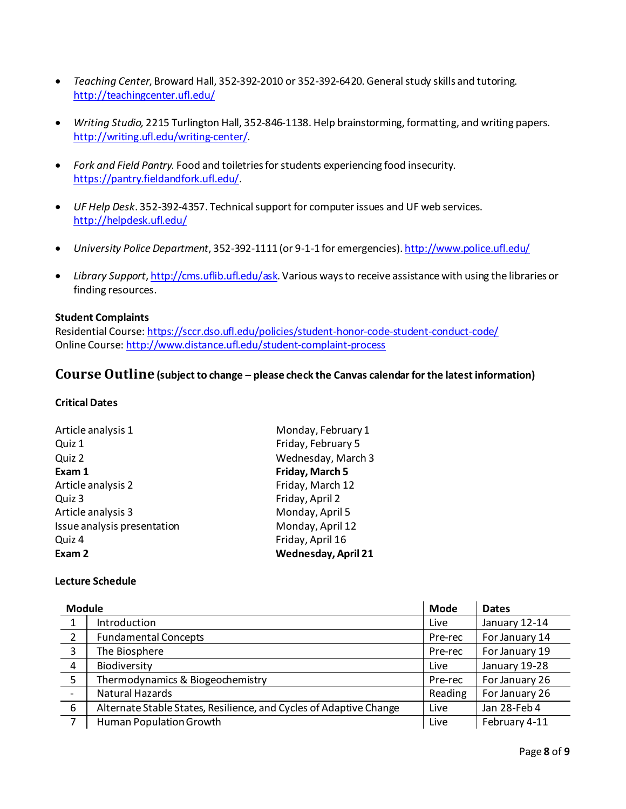- *Teaching Center*, Broward Hall, 352-392-2010 or 352-392-6420. General study skills and tutoring. <http://teachingcenter.ufl.edu/>
- *Writing Studio,* 2215 Turlington Hall, 352*-*846-1138. Help brainstorming, formatting, and writing papers. <http://writing.ufl.edu/writing-center/>.
- *Fork and Field Pantry.* Food and toiletries for students experiencing food insecurity. <https://pantry.fieldandfork.ufl.edu/>.
- *UF Help Desk*. 352-392-4357. Technical support for computer issues and UF web services. <http://helpdesk.ufl.edu/>
- *University Police Department*, 352-392-1111 (or 9-1-1 for emergencies)[. http://www.police.ufl.edu/](http://www.police.ufl.edu/)
- *Library Support*[, http://cms.uflib.ufl.edu/ask.](http://cms.uflib.ufl.edu/ask) Various ways to receive assistance with using the libraries or finding resources.

#### **Student Complaints**

Residential Course[: https://sccr.dso.ufl.edu/policies/student-honor-code-student-conduct-code/](https://sccr.dso.ufl.edu/policies/student-honor-code-student-conduct-code/) Online Course[: http://www.distance.ufl.edu/student-complaint-process](http://www.distance.ufl.edu/student-complaint-process)

# **Course Outline (subject to change – please check the Canvas calendar for the latest information)**

#### **Critical Dates**

| Article analysis 1          | Monday, February 1         |
|-----------------------------|----------------------------|
| Quiz 1                      | Friday, February 5         |
| Quiz 2                      | Wednesday, March 3         |
| Exam 1                      | Friday, March 5            |
| Article analysis 2          | Friday, March 12           |
| Quiz 3                      | Friday, April 2            |
| Article analysis 3          | Monday, April 5            |
| Issue analysis presentation | Monday, April 12           |
| Quiz 4                      | Friday, April 16           |
| Exam 2                      | <b>Wednesday, April 21</b> |

#### **Lecture Schedule**

| <b>Module</b>            |                                                                    | <b>Mode</b> | <b>Dates</b>   |
|--------------------------|--------------------------------------------------------------------|-------------|----------------|
| $\mathbf{1}$             | Introduction                                                       | Live        | January 12-14  |
| $\overline{2}$           | <b>Fundamental Concepts</b>                                        | Pre-rec     | For January 14 |
| $\overline{\mathbf{3}}$  | The Biosphere                                                      | Pre-rec     | For January 19 |
| $\overline{4}$           | Biodiversity                                                       | Live        | January 19-28  |
| 5                        | Thermodynamics & Biogeochemistry                                   | Pre-rec     | For January 26 |
| $\overline{\phantom{a}}$ | Natural Hazards                                                    | Reading     | For January 26 |
| 6                        | Alternate Stable States, Resilience, and Cycles of Adaptive Change | Live        | Jan 28-Feb 4   |
| 7                        | Human Population Growth                                            | Live        | February 4-11  |